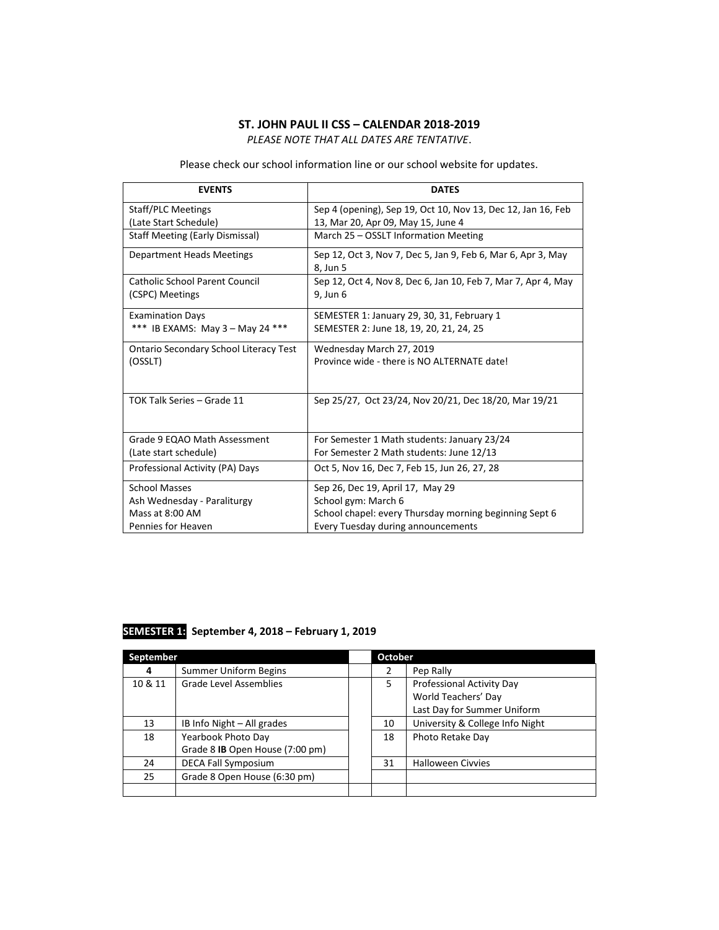## **ST. JOHN PAUL II CSS – CALENDAR 2018-2019**

*PLEASE NOTE THAT ALL DATES ARE TENTATIVE*.

Please check our school information line or our school website for updates.

| <b>EVENTS</b>                                 | <b>DATES</b>                                                             |
|-----------------------------------------------|--------------------------------------------------------------------------|
| <b>Staff/PLC Meetings</b>                     | Sep 4 (opening), Sep 19, Oct 10, Nov 13, Dec 12, Jan 16, Feb             |
| (Late Start Schedule)                         | 13, Mar 20, Apr 09, May 15, June 4                                       |
| <b>Staff Meeting (Early Dismissal)</b>        | March 25 - OSSLT Information Meeting                                     |
| Department Heads Meetings                     | Sep 12, Oct 3, Nov 7, Dec 5, Jan 9, Feb 6, Mar 6, Apr 3, May<br>8. Jun 5 |
| <b>Catholic School Parent Council</b>         | Sep 12, Oct 4, Nov 8, Dec 6, Jan 10, Feb 7, Mar 7, Apr 4, May            |
| (CSPC) Meetings                               | 9. Jun 6                                                                 |
| <b>Examination Days</b>                       | SEMESTER 1: January 29, 30, 31, February 1                               |
| *** IB EXAMS: May 3 - May 24 ***              | SEMESTER 2: June 18, 19, 20, 21, 24, 25                                  |
| <b>Ontario Secondary School Literacy Test</b> | Wednesday March 27, 2019                                                 |
| (OSSLT)                                       | Province wide - there is NO ALTERNATE date!                              |
|                                               |                                                                          |
| TOK Talk Series - Grade 11                    | Sep 25/27, Oct 23/24, Nov 20/21, Dec 18/20, Mar 19/21                    |
|                                               |                                                                          |
| Grade 9 EQAO Math Assessment                  | For Semester 1 Math students: January 23/24                              |
| (Late start schedule)                         | For Semester 2 Math students: June 12/13                                 |
| Professional Activity (PA) Days               | Oct 5, Nov 16, Dec 7, Feb 15, Jun 26, 27, 28                             |
| <b>School Masses</b>                          | Sep 26, Dec 19, April 17, May 29                                         |
| Ash Wednesday - Paraliturgy                   | School gym: March 6                                                      |
| Mass at 8:00 AM                               | School chapel: every Thursday morning beginning Sept 6                   |
| Pennies for Heaven                            | Every Tuesday during announcements                                       |

## **SEMESTER 1: September 4, 2018 – February 1, 2019**

| September |                                 | <b>October</b> |                                 |
|-----------|---------------------------------|----------------|---------------------------------|
| 4         | <b>Summer Uniform Begins</b>    | 2              | Pep Rally                       |
| 10 & 11   | <b>Grade Level Assemblies</b>   | 5.             | Professional Activity Day       |
|           |                                 |                | World Teachers' Day             |
|           |                                 |                | Last Day for Summer Uniform     |
| 13        | IB Info Night – All grades      | 10             | University & College Info Night |
| 18        | Yearbook Photo Day              | 18             | Photo Retake Day                |
|           | Grade 8 IB Open House (7:00 pm) |                |                                 |
| 24        | <b>DECA Fall Symposium</b>      | 31             | <b>Halloween Civvies</b>        |
| 25        | Grade 8 Open House (6:30 pm)    |                |                                 |
|           |                                 |                |                                 |